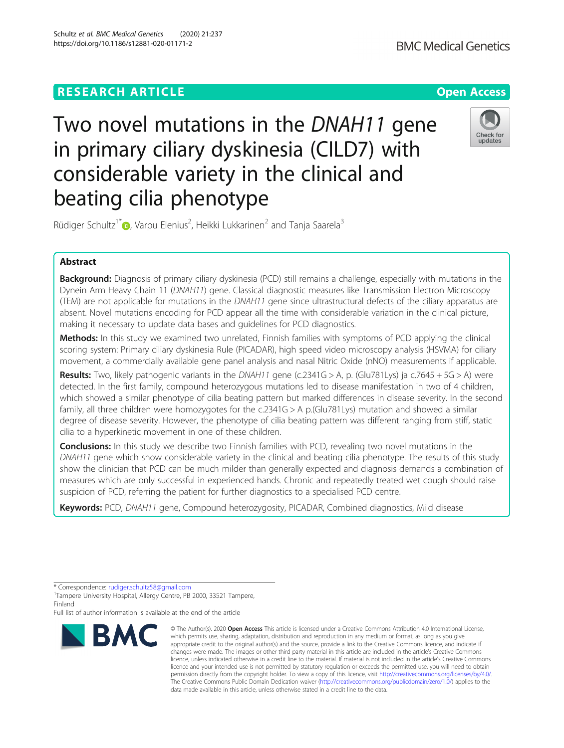# **RESEARCH ARTICLE Example 2014 12:30 The Contract of Contract ACCESS**

# Two novel mutations in the DNAH11 gene in primary ciliary dyskinesia (CILD7) with considerable variety in the clinical and beating cilia phenotype

Rüdiger Schultz<sup>1\*</sup> (b. Varpu Elenius<sup>2</sup>, Heikki Lukkarinen<sup>2</sup> and Tanja Saarela<sup>3</sup>

## Abstract

Background: Diagnosis of primary ciliary dyskinesia (PCD) still remains a challenge, especially with mutations in the Dynein Arm Heavy Chain 11 (DNAH11) gene. Classical diagnostic measures like Transmission Electron Microscopy (TEM) are not applicable for mutations in the DNAH11 gene since ultrastructural defects of the ciliary apparatus are absent. Novel mutations encoding for PCD appear all the time with considerable variation in the clinical picture, making it necessary to update data bases and guidelines for PCD diagnostics.

Methods: In this study we examined two unrelated, Finnish families with symptoms of PCD applying the clinical scoring system: Primary ciliary dyskinesia Rule (PICADAR), high speed video microscopy analysis (HSVMA) for ciliary movement, a commercially available gene panel analysis and nasal Nitric Oxide (nNO) measurements if applicable.

Results: Two, likely pathogenic variants in the DNAH11 gene (c.2341G > A, p. (Glu781Lys) ja c.7645 + 5G > A) were detected. In the first family, compound heterozygous mutations led to disease manifestation in two of 4 children, which showed a similar phenotype of cilia beating pattern but marked differences in disease severity. In the second family, all three children were homozygotes for the c.2341G > A p.(Glu781Lys) mutation and showed a similar degree of disease severity. However, the phenotype of cilia beating pattern was different ranging from stiff, static cilia to a hyperkinetic movement in one of these children.

**Conclusions:** In this study we describe two Finnish families with PCD, revealing two novel mutations in the DNAH11 gene which show considerable variety in the clinical and beating cilia phenotype. The results of this study show the clinician that PCD can be much milder than generally expected and diagnosis demands a combination of measures which are only successful in experienced hands. Chronic and repeatedly treated wet cough should raise suspicion of PCD, referring the patient for further diagnostics to a specialised PCD centre.

Keywords: PCD, DNAH11 gene, Compound heterozygosity, PICADAR, Combined diagnostics, Mild disease

<sup>1</sup>Tampere University Hospital, Allergy Centre, PB 2000, 33521 Tampere, Finland

Full list of author information is available at the end of the article



<sup>©</sup> The Author(s), 2020 **Open Access** This article is licensed under a Creative Commons Attribution 4.0 International License, which permits use, sharing, adaptation, distribution and reproduction in any medium or format, as long as you give appropriate credit to the original author(s) and the source, provide a link to the Creative Commons licence, and indicate if changes were made. The images or other third party material in this article are included in the article's Creative Commons licence, unless indicated otherwise in a credit line to the material. If material is not included in the article's Creative Commons licence and your intended use is not permitted by statutory regulation or exceeds the permitted use, you will need to obtain permission directly from the copyright holder. To view a copy of this licence, visit [http://creativecommons.org/licenses/by/4.0/.](http://creativecommons.org/licenses/by/4.0/) The Creative Commons Public Domain Dedication waiver [\(http://creativecommons.org/publicdomain/zero/1.0/](http://creativecommons.org/publicdomain/zero/1.0/)) applies to the data made available in this article, unless otherwise stated in a credit line to the data.



<sup>\*</sup> Correspondence: [rudiger.schultz58@gmail.com](mailto:rudiger.schultz58@gmail.com) <sup>1</sup>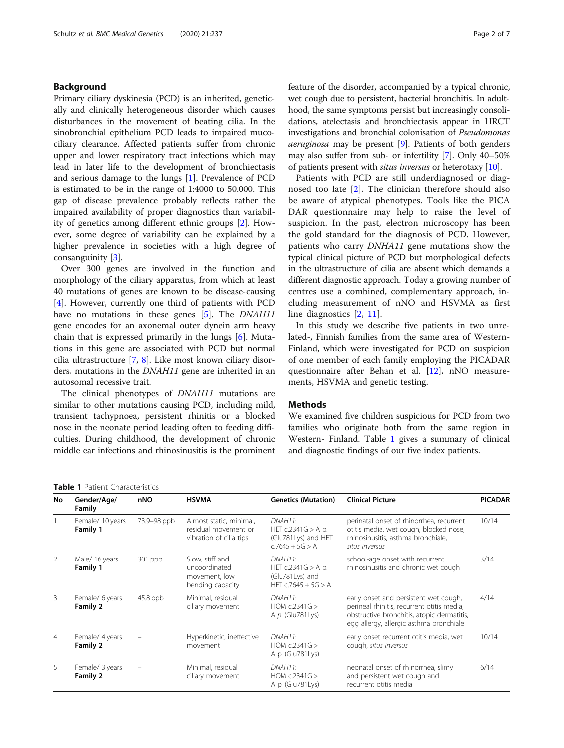## Background

Primary ciliary dyskinesia (PCD) is an inherited, genetically and clinically heterogeneous disorder which causes disturbances in the movement of beating cilia. In the sinobronchial epithelium PCD leads to impaired mucociliary clearance. Affected patients suffer from chronic upper and lower respiratory tract infections which may lead in later life to the development of bronchiectasis and serious damage to the lungs [[1\]](#page-5-0). Prevalence of PCD is estimated to be in the range of 1:4000 to 50.000. This gap of disease prevalence probably reflects rather the impaired availability of proper diagnostics than variability of genetics among different ethnic groups [\[2](#page-5-0)]. However, some degree of variability can be explained by a higher prevalence in societies with a high degree of consanguinity [\[3](#page-5-0)].

Over 300 genes are involved in the function and morphology of the ciliary apparatus, from which at least 40 mutations of genes are known to be disease-causing [[4\]](#page-5-0). However, currently one third of patients with PCD have no mutations in these genes [\[5](#page-5-0)]. The *DNAH11* gene encodes for an axonemal outer dynein arm heavy chain that is expressed primarily in the lungs [\[6](#page-5-0)]. Mutations in this gene are associated with PCD but normal cilia ultrastructure [\[7](#page-5-0), [8](#page-5-0)]. Like most known ciliary disorders, mutations in the DNAH11 gene are inherited in an autosomal recessive trait.

The clinical phenotypes of *DNAH11* mutations are similar to other mutations causing PCD, including mild, transient tachypnoea, persistent rhinitis or a blocked nose in the neonate period leading often to feeding difficulties. During childhood, the development of chronic middle ear infections and rhinosinusitis is the prominent feature of the disorder, accompanied by a typical chronic, wet cough due to persistent, bacterial bronchitis. In adulthood, the same symptoms persist but increasingly consolidations, atelectasis and bronchiectasis appear in HRCT investigations and bronchial colonisation of Pseudomonas aeruginosa may be present [\[9\]](#page-5-0). Patients of both genders may also suffer from sub- or infertility [[7\]](#page-5-0). Only 40–50% of patients present with situs inversus or heterotaxy [\[10](#page-5-0)].

Patients with PCD are still underdiagnosed or diagnosed too late [[2\]](#page-5-0). The clinician therefore should also be aware of atypical phenotypes. Tools like the PICA DAR questionnaire may help to raise the level of suspicion. In the past, electron microscopy has been the gold standard for the diagnosis of PCD. However, patients who carry DNHA11 gene mutations show the typical clinical picture of PCD but morphological defects in the ultrastructure of cilia are absent which demands a different diagnostic approach. Today a growing number of centres use a combined, complementary approach, including measurement of nNO and HSVMA as first line diagnostics [\[2](#page-5-0), [11](#page-5-0)].

In this study we describe five patients in two unrelated-, Finnish families from the same area of Western-Finland, which were investigated for PCD on suspicion of one member of each family employing the PICADAR questionnaire after Behan et al. [\[12](#page-5-0)], nNO measurements, HSVMA and genetic testing.

## **Methods**

We examined five children suspicious for PCD from two families who originate both from the same region in Western- Finland. Table 1 gives a summary of clinical and diagnostic findings of our five index patients.

Table 1 Patient Characteristics

| No             | Gender/Age/<br>Family        | nNO         | <b>HSVMA</b>                                                                | <b>Genetics (Mutation)</b>                                                  | <b>Clinical Picture</b>                                                                                                                                                      | <b>PICADAR</b> |
|----------------|------------------------------|-------------|-----------------------------------------------------------------------------|-----------------------------------------------------------------------------|------------------------------------------------------------------------------------------------------------------------------------------------------------------------------|----------------|
|                | Female/ 10 years<br>Family 1 | 73.9-98 ppb | Almost static, minimal,<br>residual movement or<br>vibration of cilia tips. | DNAH11:<br>HET $c.2341G > A$ p.<br>(Glu781Lys) and HET<br>$c.7645 + 5G > A$ | perinatal onset of rhinorrhea, recurrent<br>otitis media, wet cough, blocked nose,<br>rhinosinusitis, asthma bronchiale,<br>situs inversus                                   | 10/14          |
| 2              | Male/ 16 years<br>Family 1   | $301$ ppb   | Slow, stiff and<br>uncoordinated<br>movement, low<br>bending capacity       | DNAH11:<br>HET $c.2341G > A$ p.<br>(Glu781Lys) and<br>HET $c.7645 + 5G > A$ | school-age onset with recurrent<br>rhinosinusitis and chronic wet cough                                                                                                      | 3/14           |
| 3              | Female/ 6 years<br>Family 2  | $45.8$ ppb  | Minimal, residual<br>ciliary movement                                       | DNAH11:<br>HOM $c.2341G$<br>A p. (Glu781Lys)                                | early onset and persistent wet cough,<br>perineal rhinitis, recurrent otitis media,<br>obstructive bronchitis, atopic dermatitis,<br>egg allergy, allergic asthma bronchiale | 4/14           |
| $\overline{4}$ | Female/ 4 years<br>Family 2  |             | Hyperkinetic, ineffective<br>movement                                       | DNAH11:<br>HOM $c.2341G$<br>A p. (Glu781Lys)                                | early onset recurrent otitis media, wet<br>cough, situs inversus                                                                                                             | 10/14          |
| 5              | Female/ 3 years<br>Family 2  |             | Minimal, residual<br>ciliary movement                                       | DNAH11:<br>HOM $c.2341G$<br>A p. (Glu781Lys)                                | neonatal onset of rhinorrhea, slimy<br>and persistent wet cough and<br>recurrent otitis media                                                                                | 6/14           |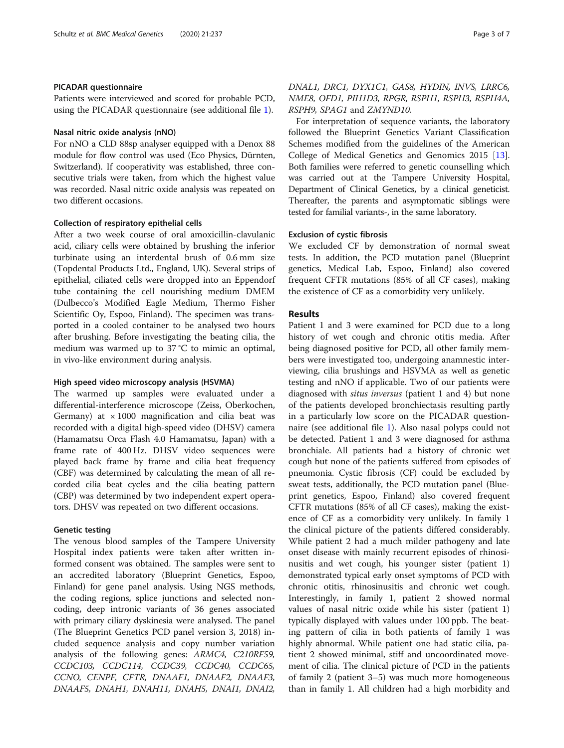#### PICADAR questionnaire

Patients were interviewed and scored for probable PCD, using the PICADAR questionnaire (see additional file [1\)](#page-5-0).

## Nasal nitric oxide analysis (nNO)

For nNO a CLD 88sp analyser equipped with a Denox 88 module for flow control was used (Eco Physics, Dürnten, Switzerland). If cooperativity was established, three consecutive trials were taken, from which the highest value was recorded. Nasal nitric oxide analysis was repeated on two different occasions.

## Collection of respiratory epithelial cells

After a two week course of oral amoxicillin-clavulanic acid, ciliary cells were obtained by brushing the inferior turbinate using an interdental brush of 0.6 mm size (Topdental Products Ltd., England, UK). Several strips of epithelial, ciliated cells were dropped into an Eppendorf tube containing the cell nourishing medium DMEM (Dulbecco's Modified Eagle Medium, Thermo Fisher Scientific Oy, Espoo, Finland). The specimen was transported in a cooled container to be analysed two hours after brushing. Before investigating the beating cilia, the medium was warmed up to 37 °C to mimic an optimal, in vivo-like environment during analysis.

## High speed video microscopy analysis (HSVMA)

The warmed up samples were evaluated under a differential-interference microscope (Zeiss, Oberkochen, Germany) at  $\times$  1000 magnification and cilia beat was recorded with a digital high-speed video (DHSV) camera (Hamamatsu Orca Flash 4.0 Hamamatsu, Japan) with a frame rate of 400 Hz. DHSV video sequences were played back frame by frame and cilia beat frequency (CBF) was determined by calculating the mean of all recorded cilia beat cycles and the cilia beating pattern (CBP) was determined by two independent expert operators. DHSV was repeated on two different occasions.

## Genetic testing

The venous blood samples of the Tampere University Hospital index patients were taken after written informed consent was obtained. The samples were sent to an accredited laboratory (Blueprint Genetics, Espoo, Finland) for gene panel analysis. Using NGS methods, the coding regions, splice junctions and selected noncoding, deep intronic variants of 36 genes associated with primary ciliary dyskinesia were analysed. The panel (The Blueprint Genetics PCD panel version 3, 2018) included sequence analysis and copy number variation analysis of the following genes: ARMC4, C210RF59, CCDC103, CCDC114, CCDC39, CCDC40, CCDC65, CCNO, CENPF, CFTR, DNAAF1, DNAAF2, DNAAF3, DNAAF5, DNAH1, DNAH11, DNAH5, DNAI1, DNAI2,

## DNAL1, DRC1, DYX1C1, GAS8, HYDIN, INVS, LRRC6, NME8, OFD1, PIH1D3, RPGR, RSPH1, RSPH3, RSPH4A, RSPH9, SPAG1 and ZMYND10.

For interpretation of sequence variants, the laboratory followed the Blueprint Genetics Variant Classification Schemes modified from the guidelines of the American College of Medical Genetics and Genomics 2015 [\[13](#page-5-0)]. Both families were referred to genetic counselling which was carried out at the Tampere University Hospital, Department of Clinical Genetics, by a clinical geneticist. Thereafter, the parents and asymptomatic siblings were tested for familial variants-, in the same laboratory.

## Exclusion of cystic fibrosis

We excluded CF by demonstration of normal sweat tests. In addition, the PCD mutation panel (Blueprint genetics, Medical Lab, Espoo, Finland) also covered frequent CFTR mutations (85% of all CF cases), making the existence of CF as a comorbidity very unlikely.

## Results

Patient 1 and 3 were examined for PCD due to a long history of wet cough and chronic otitis media. After being diagnosed positive for PCD, all other family members were investigated too, undergoing anamnestic interviewing, cilia brushings and HSVMA as well as genetic testing and nNO if applicable. Two of our patients were diagnosed with situs inversus (patient 1 and 4) but none of the patients developed bronchiectasis resulting partly in a particularly low score on the PICADAR questionnaire (see additional file [1](#page-5-0)). Also nasal polyps could not be detected. Patient 1 and 3 were diagnosed for asthma bronchiale. All patients had a history of chronic wet cough but none of the patients suffered from episodes of pneumonia. Cystic fibrosis (CF) could be excluded by sweat tests, additionally, the PCD mutation panel (Blueprint genetics, Espoo, Finland) also covered frequent CFTR mutations (85% of all CF cases), making the existence of CF as a comorbidity very unlikely. In family 1 the clinical picture of the patients differed considerably. While patient 2 had a much milder pathogeny and late onset disease with mainly recurrent episodes of rhinosinusitis and wet cough, his younger sister (patient 1) demonstrated typical early onset symptoms of PCD with chronic otitis, rhinosinusitis and chronic wet cough. Interestingly, in family 1, patient 2 showed normal values of nasal nitric oxide while his sister (patient 1) typically displayed with values under 100 ppb. The beating pattern of cilia in both patients of family 1 was highly abnormal. While patient one had static cilia, patient 2 showed minimal, stiff and uncoordinated movement of cilia. The clinical picture of PCD in the patients of family 2 (patient 3–5) was much more homogeneous than in family 1. All children had a high morbidity and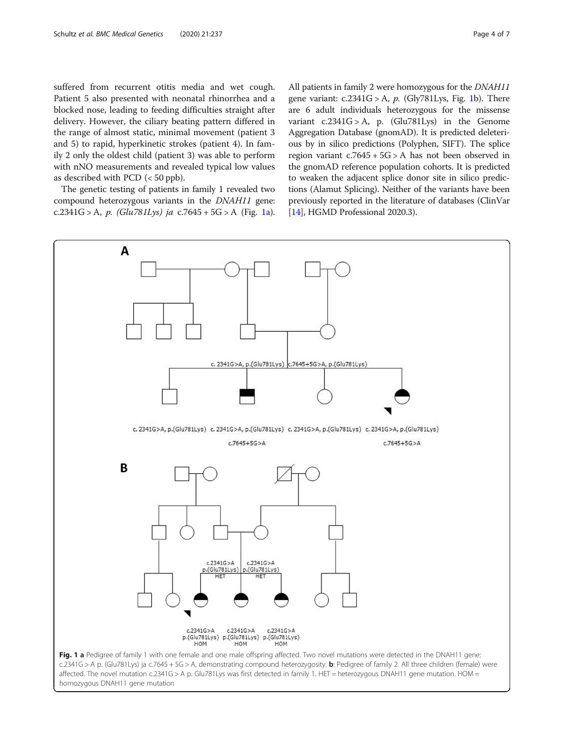<span id="page-3-0"></span>suffered from recurrent otitis media and wet cough. Patient 5 also presented with neonatal rhinorrhea and a blocked nose, leading to feeding difficulties straight after delivery. However, the ciliary beating pattern differed in the range of almost static, minimal movement (patient 3 and 5) to rapid, hyperkinetic strokes (patient 4). In family 2 only the oldest child (patient 3) was able to perform with nNO measurements and revealed typical low values as described with PCD (< 50 ppb).

The genetic testing of patients in family 1 revealed two compound heterozygous variants in the DNAH11 gene: c.2341G > A, p. (Glu781Lys) ja c.7645 + 5G > A (Fig. 1a).

All patients in family 2 were homozygous for the DNAH11 gene variant:  $c.2341G > A$ ,  $p.$  (Gly781Lys, Fig. 1b). There are 6 adult individuals heterozygous for the missense variant  $c.2341G > A$ , p. (Glu781Lys) in the Genome Aggregation Database (gnomAD). It is predicted deleterious by in silico predictions (Polyphen, SIFT). The splice region variant  $c.7645 + 5G > A$  has not been observed in the gnomAD reference population cohorts. It is predicted to weaken the adjacent splice donor site in silico predictions (Alamut Splicing). Neither of the variants have been previously reported in the literature of databases (ClinVar [[14](#page-5-0)], HGMD Professional 2020.3).

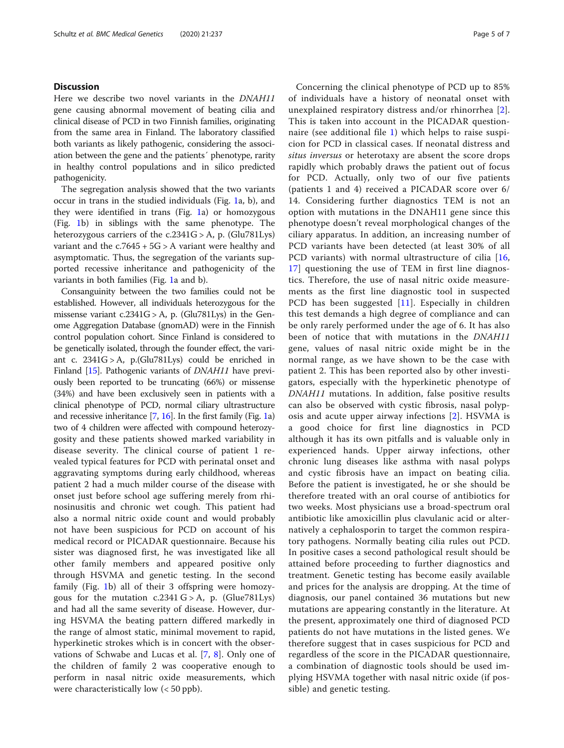## **Discussion**

Here we describe two novel variants in the DNAH11 gene causing abnormal movement of beating cilia and clinical disease of PCD in two Finnish families, originating from the same area in Finland. The laboratory classified both variants as likely pathogenic, considering the association between the gene and the patients´ phenotype, rarity in healthy control populations and in silico predicted pathogenicity.

The segregation analysis showed that the two variants occur in trans in the studied individuals (Fig. [1a](#page-3-0), b), and they were identified in trans (Fig. [1a](#page-3-0)) or homozygous (Fig. [1b](#page-3-0)) in siblings with the same phenotype. The heterozygous carriers of the c.2341G > A, p. (Glu781Lys) variant and the  $c.7645 + 5G > A$  variant were healthy and asymptomatic. Thus, the segregation of the variants supported recessive inheritance and pathogenicity of the variants in both families (Fig. [1a](#page-3-0) and b).

Consanguinity between the two families could not be established. However, all individuals heterozygous for the missense variant c.2341G > A, p. (Glu781Lys) in the Genome Aggregation Database (gnomAD) were in the Finnish control population cohort. Since Finland is considered to be genetically isolated, through the founder effect, the variant c. 2341G > A, p.(Glu781Lys) could be enriched in Finland [\[15\]](#page-5-0). Pathogenic variants of *DNAH11* have previously been reported to be truncating (66%) or missense (34%) and have been exclusively seen in patients with a clinical phenotype of PCD, normal ciliary ultrastructure and recessive inheritance [\[7,](#page-5-0) [16](#page-6-0)]. In the first family (Fig. [1](#page-3-0)a) two of 4 children were affected with compound heterozygosity and these patients showed marked variability in disease severity. The clinical course of patient 1 revealed typical features for PCD with perinatal onset and aggravating symptoms during early childhood, whereas patient 2 had a much milder course of the disease with onset just before school age suffering merely from rhinosinusitis and chronic wet cough. This patient had also a normal nitric oxide count and would probably not have been suspicious for PCD on account of his medical record or PICADAR questionnaire. Because his sister was diagnosed first, he was investigated like all other family members and appeared positive only through HSVMA and genetic testing. In the second family (Fig. [1](#page-3-0)b) all of their 3 offspring were homozygous for the mutation  $c.2341 G > A$ , p. (Glue781Lys) and had all the same severity of disease. However, during HSVMA the beating pattern differed markedly in the range of almost static, minimal movement to rapid, hyperkinetic strokes which is in concert with the observations of Schwabe and Lucas et al. [[7,](#page-5-0) [8\]](#page-5-0). Only one of the children of family 2 was cooperative enough to perform in nasal nitric oxide measurements, which were characteristically low (< 50 ppb).

Concerning the clinical phenotype of PCD up to 85% of individuals have a history of neonatal onset with unexplained respiratory distress and/or rhinorrhea [[2](#page-5-0)]. This is taken into account in the PICADAR questionnaire (see additional file [1\)](#page-5-0) which helps to raise suspicion for PCD in classical cases. If neonatal distress and situs inversus or heterotaxy are absent the score drops rapidly which probably draws the patient out of focus for PCD. Actually, only two of our five patients (patients 1 and 4) received a PICADAR score over 6/ 14. Considering further diagnostics TEM is not an option with mutations in the DNAH11 gene since this phenotype doesn't reveal morphological changes of the ciliary apparatus. In addition, an increasing number of PCD variants have been detected (at least 30% of all PCD variants) with normal ultrastructure of cilia [\[16](#page-6-0), [17\]](#page-6-0) questioning the use of TEM in first line diagnostics. Therefore, the use of nasal nitric oxide measurements as the first line diagnostic tool in suspected PCD has been suggested [\[11](#page-5-0)]. Especially in children this test demands a high degree of compliance and can be only rarely performed under the age of 6. It has also been of notice that with mutations in the DNAH11 gene, values of nasal nitric oxide might be in the normal range, as we have shown to be the case with patient 2. This has been reported also by other investigators, especially with the hyperkinetic phenotype of DNAH11 mutations. In addition, false positive results can also be observed with cystic fibrosis, nasal polyposis and acute upper airway infections [[2\]](#page-5-0). HSVMA is a good choice for first line diagnostics in PCD although it has its own pitfalls and is valuable only in experienced hands. Upper airway infections, other chronic lung diseases like asthma with nasal polyps and cystic fibrosis have an impact on beating cilia. Before the patient is investigated, he or she should be therefore treated with an oral course of antibiotics for two weeks. Most physicians use a broad-spectrum oral antibiotic like amoxicillin plus clavulanic acid or alternatively a cephalosporin to target the common respiratory pathogens. Normally beating cilia rules out PCD. In positive cases a second pathological result should be attained before proceeding to further diagnostics and treatment. Genetic testing has become easily available and prices for the analysis are dropping. At the time of diagnosis, our panel contained 36 mutations but new mutations are appearing constantly in the literature. At the present, approximately one third of diagnosed PCD patients do not have mutations in the listed genes. We therefore suggest that in cases suspicious for PCD and regardless of the score in the PICADAR questionnaire, a combination of diagnostic tools should be used implying HSVMA together with nasal nitric oxide (if possible) and genetic testing.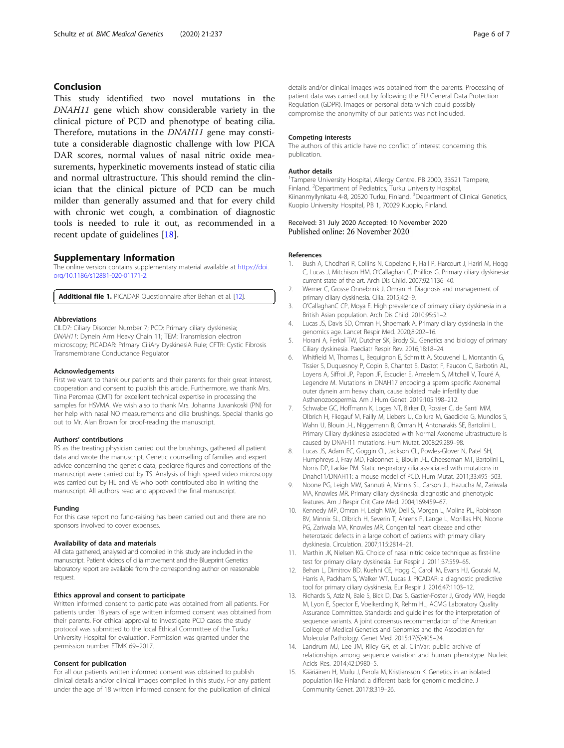## <span id="page-5-0"></span>Conclusion

This study identified two novel mutations in the DNAH11 gene which show considerable variety in the clinical picture of PCD and phenotype of beating cilia. Therefore, mutations in the DNAH11 gene may constitute a considerable diagnostic challenge with low PICA DAR scores, normal values of nasal nitric oxide measurements, hyperkinetic movements instead of static cilia and normal ultrastructure. This should remind the clinician that the clinical picture of PCD can be much milder than generally assumed and that for every child with chronic wet cough, a combination of diagnostic tools is needed to rule it out, as recommended in a recent update of guidelines [[18\]](#page-6-0).

## Supplementary Information

The online version contains supplementary material available at [https://doi.](https://doi.org/10.1186/s12881-020-01171-2) [org/10.1186/s12881-020-01171-2.](https://doi.org/10.1186/s12881-020-01171-2)

Additional file 1. PICADAR Questionnaire after Behan et al. [12].

#### Abbreviations

CILD7: Ciliary Disorder Number 7; PCD: Primary ciliary dyskinesia; DNAH11: Dynein Arm Heavy Chain 11; TEM: Transmission electron microscopy; PICADAR: PrImary CiliAry DyskinesiA Rule; CFTR: Cystic Fibrosis Transmembrane Conductance Regulator

#### Acknowledgements

First we want to thank our patients and their parents for their great interest, cooperation and consent to publish this article. Furthermore, we thank Mrs. Tiina Peromaa (CMT) for excellent technical expertise in processing the samples for HSVMA. We wish also to thank Mrs. Johanna Juvankoski (PN) for her help with nasal NO measurements and cilia brushings. Special thanks go out to Mr. Alan Brown for proof-reading the manuscript.

#### Authors' contributions

RS as the treating physician carried out the brushings, gathered all patient data and wrote the manuscript. Genetic counselling of families and expert advice concerning the genetic data, pedigree figures and corrections of the manuscript were carried out by TS. Analysis of high speed video microscopy was carried out by HL and VE who both contributed also in writing the manuscript. All authors read and approved the final manuscript.

#### Funding

For this case report no fund-raising has been carried out and there are no sponsors involved to cover expenses.

#### Availability of data and materials

All data gathered, analysed and compiled in this study are included in the manuscript. Patient videos of cilia movement and the Blueprint Genetics laboratory report are available from the corresponding author on reasonable request.

## Ethics approval and consent to participate

Written informed consent to participate was obtained from all patients. For patients under 18 years of age written informed consent was obtained from their parents. For ethical approval to investigate PCD cases the study protocol was submitted to the local Ethical Committee of the Turku University Hospital for evaluation. Permission was granted under the permission number ETMK 69–2017.

#### Consent for publication

For all our patients written informed consent was obtained to publish clinical details and/or clinical images compiled in this study. For any patient under the age of 18 written informed consent for the publication of clinical details and/or clinical images was obtained from the parents. Processing of patient data was carried out by following the EU General Data Protection Regulation (GDPR). Images or personal data which could possibly compromise the anonymity of our patients was not included.

#### Competing interests

The authors of this article have no conflict of interest concerning this publication.

#### Author details

<sup>1</sup>Tampere University Hospital, Allergy Centre, PB 2000, 33521 Tampere, Finland. <sup>2</sup> Department of Pediatrics, Turku University Hospital, Kiinanmyllynkatu 4-8, 20520 Turku, Finland. <sup>3</sup>Department of Clinical Genetics Kuopio University Hospital, PB 1, 70029 Kuopio, Finland.

## Received: 31 July 2020 Accepted: 10 November 2020 Published online: 26 November 2020

#### References

- Bush A, Chodhari R, Collins N, Copeland F, Hall P, Harcourt J, Hariri M, Hogg C, Lucas J, Mitchison HM, O'Callaghan C, Phillips G. Primary ciliary dyskinesia: current state of the art. Arch Dis Child. 2007;92:1136–40.
- 2. Werner C, Grosse Onnebrink J, Omran H. Diagnosis and management of primary ciliary dyskinesia. Cilia. 2015;4:2–9.
- 3. O'CallaghanC CP, Moya E. High prevalence of primary ciliary dyskinesia in a British Asian population. Arch Dis Child. 2010;95:51–2.
- 4. Lucas JS, Davis SD, Omran H, Shoemark A. Primary ciliary dyskinesia in the genomics age. Lancet Respir Med. 2020;8:202–16.
- 5. Horani A, Ferkol TW, Dutcher SK, Brody SL. Genetics and biology of primary Ciliary dyskinesia. Paediatr Respir Rev. 2016;18:18–24.
- 6. Whitfield M, Thomas L, Bequignon E, Schmitt A, Stouvenel L, Montantin G, Tissier S, Duquesnoy P, Copin B, Chantot S, Dastot F, Faucon C, Barbotin AL, Loyens A, Siffroi JP, Papon JF, Escudier E, Amselem S, Mitchell V, Touré A, Legendre M. Mutations in DNAH17 encoding a sperm specific Axonemal outer dynein arm heavy chain, cause isolated male infertility due Asthenozoospermia. Am J Hum Genet. 2019;105:198–212.
- 7. Schwabe GC, Hoffmann K, Loges NT, Birker D, Rossier C, de Santi MM, Olbrich H, Fliegauf M, Failly M, Liebers U, Collura M, Gaedicke G, Mundlos S, Wahn U, Blouin J-L, Niggemann B, Omran H, Antonarakis SE, Bartolini L. Primary Ciliary dyskinesia associated with Normal Axoneme ultrastructure is caused by DNAH11 mutations. Hum Mutat. 2008;29:289–98.
- 8. Lucas JS, Adam EC, Goggin CL, Jackson CL, Powles-Glover N, Patel SH, Humphreys J, Fray MD, Falconnet E, Blouin J-L, Cheeseman MT, Bartolini L, Norris DP, Lackie PM. Static respiratory cilia associated with mutations in Dnahc11/DNAH11: a mouse model of PCD. Hum Mutat. 2011;33:495–503.
- 9. Noone PG, Leigh MW, Sannuti A, Minnis SL, Carson JL, Hazucha M, Zariwala MA, Knowles MR. Primary ciliary dyskinesia: diagnostic and phenotypic features. Am J Respir Crit Care Med. 2004;169:459–67.
- 10. Kennedy MP, Omran H, Leigh MW, Dell S, Morgan L, Molina PL, Robinson BV, Minnix SL, Olbrich H, Severin T, Ahrens P, Lange L, Morillas HN, Noone PG, Zariwala MA, Knowles MR. Congenital heart disease and other heterotaxic defects in a large cohort of patients with primary ciliary dyskinesia. Circulation. 2007;115:2814–21.
- 11. Marthin JK, Nielsen KG. Choice of nasal nitric oxide technique as first-line test for primary ciliary dyskinesia. Eur Respir J. 2011;37:559–65.
- 12. Behan L, Dimitrov BD, Kuehni CE, Hogg C, Caroll M, Evans HJ, Goutaki M, Harris A, Packham S, Walker WT, Lucas J. PICADAR: a diagnostic predictive tool for primary ciliary dyskinesia. Eur Respir J. 2016;47:1103–12.
- 13. Richards S, Aziz N, Bale S, Bick D, Das S, Gastier-Foster J, Grody WW, Hegde M, Lyon E, Spector E, Voelkerding K, Rehm HL, ACMG Laboratory Quality Assurance Committee. Standards and guidelines for the interpretation of sequence variants. A joint consensus recommendation of the American College of Medical Genetics and Genomics and the Association for Molecular Pathology. Genet Med. 2015;17(5):405–24.
- 14. Landrum MJ, Lee JM, Riley GR, et al. ClinVar: public archive of relationships among sequence variation and human phenotype. Nucleic Acids Res. 2014;42:D980–5.
- 15. Kääriäinen H, Muilu J, Perola M, Kristiansson K. Genetics in an isolated population like Finland: a different basis for genomic medicine. J Community Genet. 2017;8:319–26.